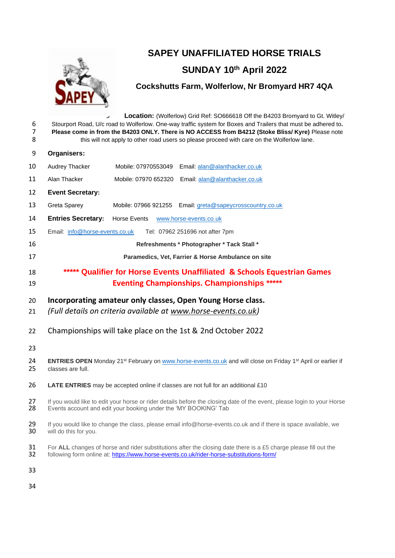

## **SAPEY UNAFFILIATED HORSE TRIALS SUNDAY 10 th April 2022**

## **Cockshutts Farm, Wolferlow, Nr Bromyard HR7 4QA**

| 6<br>7<br>8 | Location: (Wolferlow) Grid Ref: SO666618 Off the B4203 Bromyard to Gt. Witley/<br>$\overline{v}$<br>Stourport Road, U/c road to Wolferlow. One-way traffic system for Boxes and Trailers that must be adhered to.<br>Please come in from the B4203 ONLY. There is NO ACCESS from B4212 (Stoke Bliss/ Kyre) Please note<br>this will not apply to other road users so please proceed with care on the Wolferlow lane. |  |  |  |  |  |  |
|-------------|----------------------------------------------------------------------------------------------------------------------------------------------------------------------------------------------------------------------------------------------------------------------------------------------------------------------------------------------------------------------------------------------------------------------|--|--|--|--|--|--|
| 9           | Organisers:                                                                                                                                                                                                                                                                                                                                                                                                          |  |  |  |  |  |  |
| 10          | Audrey Thacker<br>Mobile: 07970553049<br>Email: alan@alanthacker.co.uk                                                                                                                                                                                                                                                                                                                                               |  |  |  |  |  |  |
| 11          | Alan Thacker<br>Mobile: 07970 652320<br>Email: alan@alanthacker.co.uk                                                                                                                                                                                                                                                                                                                                                |  |  |  |  |  |  |
| 12          | <b>Event Secretary:</b>                                                                                                                                                                                                                                                                                                                                                                                              |  |  |  |  |  |  |
| 13          | Greta Sparey<br>Email: greta@sapeycrosscountry.co.uk<br>Mobile: 07966 921255                                                                                                                                                                                                                                                                                                                                         |  |  |  |  |  |  |
| 14          | <b>Entries Secretary:</b><br>Horse Events<br>www.horse-events.co.uk                                                                                                                                                                                                                                                                                                                                                  |  |  |  |  |  |  |
| 15          | Email: info@horse-events.co.uk<br>Tel: 07962 251696 not after 7pm                                                                                                                                                                                                                                                                                                                                                    |  |  |  |  |  |  |
| 16          | Refreshments * Photographer * Tack Stall *                                                                                                                                                                                                                                                                                                                                                                           |  |  |  |  |  |  |
| 17          | Paramedics, Vet, Farrier & Horse Ambulance on site                                                                                                                                                                                                                                                                                                                                                                   |  |  |  |  |  |  |
| 18<br>19    | ***** Qualifier for Horse Events Unaffiliated & Schools Equestrian Games<br><b>Eventing Championships. Championships *****</b>                                                                                                                                                                                                                                                                                       |  |  |  |  |  |  |
|             |                                                                                                                                                                                                                                                                                                                                                                                                                      |  |  |  |  |  |  |
| 20<br>21    | Incorporating amateur only classes, Open Young Horse class.<br>(Full details on criteria available at www.horse-events.co.uk)                                                                                                                                                                                                                                                                                        |  |  |  |  |  |  |
| 22          | Championships will take place on the 1st & 2nd October 2022                                                                                                                                                                                                                                                                                                                                                          |  |  |  |  |  |  |
| 23          |                                                                                                                                                                                                                                                                                                                                                                                                                      |  |  |  |  |  |  |
| 24<br>25    | ENTRIES OPEN Monday 21 <sup>st</sup> February on www.horse-events.co.uk and will close on Friday 1 <sup>st</sup> April or earlier if<br>classes are full.                                                                                                                                                                                                                                                            |  |  |  |  |  |  |
| 26          | LATE ENTRIES may be accepted online if classes are not full for an additional £10                                                                                                                                                                                                                                                                                                                                    |  |  |  |  |  |  |
| 27<br>28    | If you would like to edit your horse or rider details before the closing date of the event, please login to your Horse<br>Events account and edit your booking under the 'MY BOOKING' Tab                                                                                                                                                                                                                            |  |  |  |  |  |  |
| 29<br>30    | If you would like to change the class, please email info@horse-events.co.uk and if there is space available, we<br>will do this for you.                                                                                                                                                                                                                                                                             |  |  |  |  |  |  |
| 31<br>32    | For ALL changes of horse and rider substitutions after the closing date there is a £5 charge please fill out the<br>following form online at: https://www.horse-events.co.uk/rider-horse-substitutions-form/                                                                                                                                                                                                         |  |  |  |  |  |  |
| 33          |                                                                                                                                                                                                                                                                                                                                                                                                                      |  |  |  |  |  |  |
| 34          |                                                                                                                                                                                                                                                                                                                                                                                                                      |  |  |  |  |  |  |
|             |                                                                                                                                                                                                                                                                                                                                                                                                                      |  |  |  |  |  |  |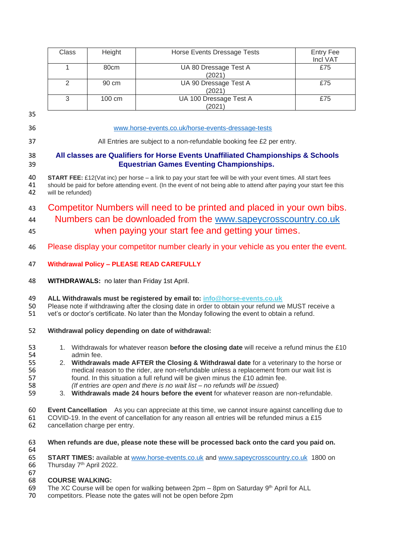|                                        | Class                                                                                                                                                                                                                                                                                                                                                                                                                                                                                                                                                           | Height | Horse Events Dressage Tests      | <b>Entry Fee</b><br>Incl VAT |  |  |  |
|----------------------------------------|-----------------------------------------------------------------------------------------------------------------------------------------------------------------------------------------------------------------------------------------------------------------------------------------------------------------------------------------------------------------------------------------------------------------------------------------------------------------------------------------------------------------------------------------------------------------|--------|----------------------------------|------------------------------|--|--|--|
|                                        | 1                                                                                                                                                                                                                                                                                                                                                                                                                                                                                                                                                               | 80cm   | UA 80 Dressage Test A<br>(2021)  | £75                          |  |  |  |
|                                        | $\overline{2}$                                                                                                                                                                                                                                                                                                                                                                                                                                                                                                                                                  | 90 cm  | UA 90 Dressage Test A<br>(2021)  | £75                          |  |  |  |
|                                        | 3                                                                                                                                                                                                                                                                                                                                                                                                                                                                                                                                                               | 100 cm | UA 100 Dressage Test A<br>(2021) | £75                          |  |  |  |
| 35                                     |                                                                                                                                                                                                                                                                                                                                                                                                                                                                                                                                                                 |        |                                  |                              |  |  |  |
| 36                                     | www.horse-events.co.uk/horse-events-dressage-tests                                                                                                                                                                                                                                                                                                                                                                                                                                                                                                              |        |                                  |                              |  |  |  |
| 37                                     | All Entries are subject to a non-refundable booking fee £2 per entry.                                                                                                                                                                                                                                                                                                                                                                                                                                                                                           |        |                                  |                              |  |  |  |
| 38<br>39                               | All classes are Qualifiers for Horse Events Unaffiliated Championships & Schools<br><b>Equestrian Games Eventing Championships.</b>                                                                                                                                                                                                                                                                                                                                                                                                                             |        |                                  |                              |  |  |  |
| 40<br>41<br>42                         | <b>START FEE:</b> £12(Vat inc) per horse - a link to pay your start fee will be with your event times. All start fees<br>should be paid for before attending event. (In the event of not being able to attend after paying your start fee this<br>will be refunded)                                                                                                                                                                                                                                                                                             |        |                                  |                              |  |  |  |
| 43                                     | Competitor Numbers will need to be printed and placed in your own bibs.                                                                                                                                                                                                                                                                                                                                                                                                                                                                                         |        |                                  |                              |  |  |  |
| 44                                     | Numbers can be downloaded from the www.sapeycrosscountry.co.uk                                                                                                                                                                                                                                                                                                                                                                                                                                                                                                  |        |                                  |                              |  |  |  |
| 45                                     | when paying your start fee and getting your times.                                                                                                                                                                                                                                                                                                                                                                                                                                                                                                              |        |                                  |                              |  |  |  |
| 46                                     | Please display your competitor number clearly in your vehicle as you enter the event.                                                                                                                                                                                                                                                                                                                                                                                                                                                                           |        |                                  |                              |  |  |  |
| 47                                     | <b>Withdrawal Policy - PLEASE READ CAREFULLY</b>                                                                                                                                                                                                                                                                                                                                                                                                                                                                                                                |        |                                  |                              |  |  |  |
| 48                                     | <b>WITHDRAWALS: no later than Friday 1st April.</b>                                                                                                                                                                                                                                                                                                                                                                                                                                                                                                             |        |                                  |                              |  |  |  |
| 49<br>50<br>51                         | ALL Withdrawals must be registered by email to: info@horse-events.co.uk<br>Please note if withdrawing after the closing date in order to obtain your refund we MUST receive a<br>vet's or doctor's certificate. No later than the Monday following the event to obtain a refund.                                                                                                                                                                                                                                                                                |        |                                  |                              |  |  |  |
| 52                                     | Withdrawal policy depending on date of withdrawal:                                                                                                                                                                                                                                                                                                                                                                                                                                                                                                              |        |                                  |                              |  |  |  |
| 53<br>54<br>55<br>56<br>57<br>58<br>59 | 1. Withdrawals for whatever reason before the closing date will receive a refund minus the £10<br>admin fee.<br>2. Withdrawals made AFTER the Closing & Withdrawal date for a veterinary to the horse or<br>medical reason to the rider, are non-refundable unless a replacement from our wait list is<br>found. In this situation a full refund will be given minus the £10 admin fee.<br>(If entries are open and there is no wait list - no refunds will be issued)<br>3. Withdrawals made 24 hours before the event for whatever reason are non-refundable. |        |                                  |                              |  |  |  |
| 60<br>61<br>62                         | Event Cancellation As you can appreciate at this time, we cannot insure against cancelling due to<br>COVID-19. In the event of cancellation for any reason all entries will be refunded minus a £15<br>cancellation charge per entry.                                                                                                                                                                                                                                                                                                                           |        |                                  |                              |  |  |  |
| 63<br>64                               | When refunds are due, please note these will be processed back onto the card you paid on.<br><b>START TIMES:</b> available at www.horse-events.co.uk and www.sapeycrosscountry.co.uk 1800 on<br>Thursday 7 <sup>th</sup> April 2022.                                                                                                                                                                                                                                                                                                                            |        |                                  |                              |  |  |  |
| 65<br>66<br>67                         |                                                                                                                                                                                                                                                                                                                                                                                                                                                                                                                                                                 |        |                                  |                              |  |  |  |
| 68<br>69                               | <b>COURSE WALKING:</b><br>The XC Course will be open for walking between $2pm - 8pm$ on Saturday $9th$ April for ALL                                                                                                                                                                                                                                                                                                                                                                                                                                            |        |                                  |                              |  |  |  |

70 The XC Course will be open for walking between 2pm – 8pm on<br>70 competitors. Please note the gates will not be open before 2pm